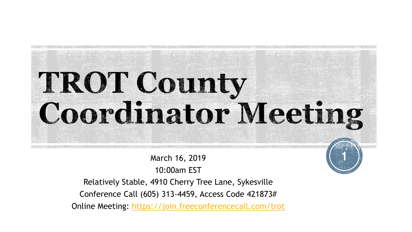# TROT County Coordinator Meeting

**1**

March 16, 2019

10:00am EST

Relatively Stable, 4910 Cherry Tree Lane, Sykesville

Conference Call (605) 313-4459, Access Code 421873#

Online Meeting:<https://join.freeconferencecall.com/trot>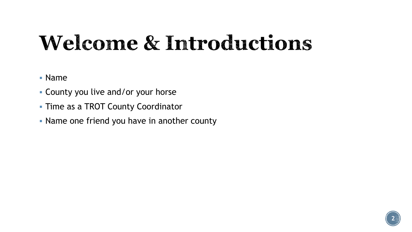#### **Welcome & Introductions**

- Name
- County you live and/or your horse
- **Time as a TROT County Coordinator**
- Name one friend you have in another county

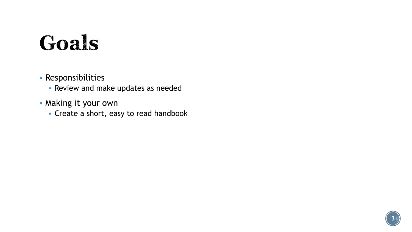### Goals

- Responsibilities
	- **Review and make updates as needed**
- Making it your own
	- Create a short, easy to read handbook

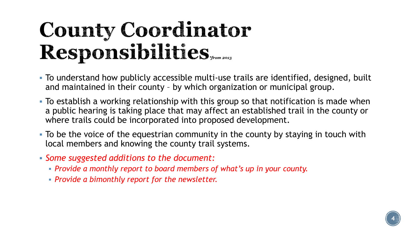#### County Coordinator Responsibilities

- To understand how publicly accessible multi-use trails are identified, designed, built and maintained in their county – by which organization or municipal group.
- To establish a working relationship with this group so that notification is made when a public hearing is taking place that may affect an established trail in the county or where trails could be incorporated into proposed development.
- To be the voice of the equestrian community in the county by staying in touch with local members and knowing the county trail systems.
- *Some suggested additions to the document:* 
	- *Provide a monthly report to board members of what's up in your county.*
	- *Provide a bimonthly report for the newsletter.*

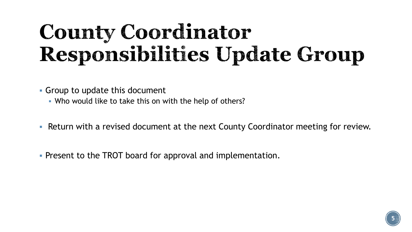### **County Coordinator** Responsibilities Update Group

Group to update this document

- Who would like to take this on with the help of others?
- Return with a revised document at the next County Coordinator meeting for review.
- **Present to the TROT board for approval and implementation.**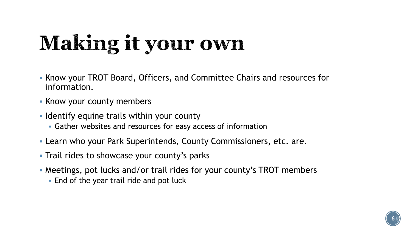## Making it your own

- Know your TROT Board, Officers, and Committee Chairs and resources for information.
- **Know your county members**
- I Identify equine trails within your county
	- Gather websites and resources for easy access of information
- Learn who your Park Superintends, County Commissioners, etc. are.
- **Trail rides to showcase your county's parks**
- Meetings, pot lucks and/or trail rides for your county's TROT members
	- **End of the year trail ride and pot luck**

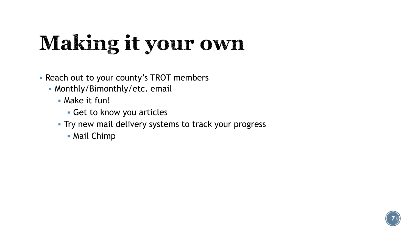## Making it your own

- **Reach out to your county's TROT members** 
	- Monthly/Bimonthly/etc. email
		- **Make it fun!** 
			- Get to know you articles
		- **Try new mail delivery systems to track your progress** 
			- Mail Chimp

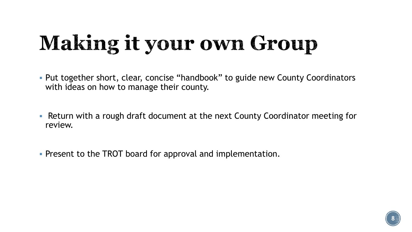## **Making it your own Group**

- Put together short, clear, concise "handbook" to guide new County Coordinators with ideas on how to manage their county.
- Return with a rough draft document at the next County Coordinator meeting for review.
- **Present to the TROT board for approval and implementation.**